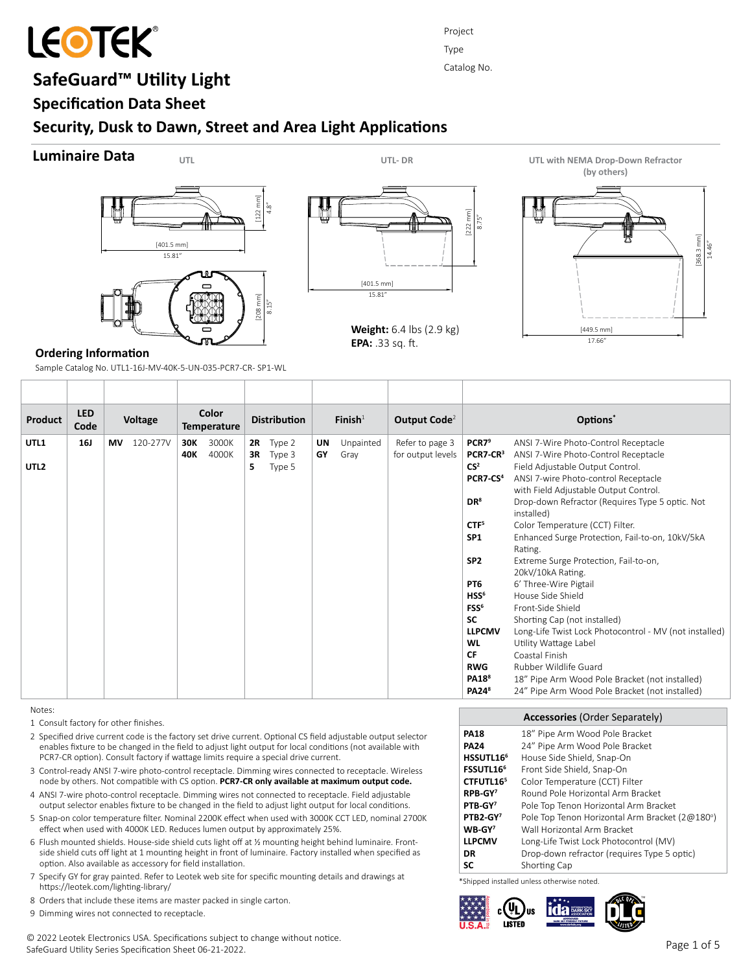

# **SafeGuard™ Utility Light**

**Specification Data Sheet**

# **Security, Dusk to Dawn, Street and Area Light Applications**

# **Luminaire Data**





Project Type Catalog No.

**Weight:** 6.4 lbs (2.9 kg) **EPA:** .33 sq. ft.



# **Ordering Information**

Sample Catalog No. UTL1-16J-MV-40K-5-UN-035-PCR7-CR- SP1-WL

| Color<br><b>LED</b><br>Options*<br>$\mathsf{Finish}^1$<br>Output Code <sup>2</sup><br><b>Voltage</b><br><b>Distribution</b><br>Product                                                                                                                                                                                                                                                                                                                                                                                                                                                                                                                                                                                                                                                                                                                                                                                                                                                                                                                                                                                                                                                                                                                                                                                                                   |  |
|----------------------------------------------------------------------------------------------------------------------------------------------------------------------------------------------------------------------------------------------------------------------------------------------------------------------------------------------------------------------------------------------------------------------------------------------------------------------------------------------------------------------------------------------------------------------------------------------------------------------------------------------------------------------------------------------------------------------------------------------------------------------------------------------------------------------------------------------------------------------------------------------------------------------------------------------------------------------------------------------------------------------------------------------------------------------------------------------------------------------------------------------------------------------------------------------------------------------------------------------------------------------------------------------------------------------------------------------------------|--|
| Code<br><b>Temperature</b>                                                                                                                                                                                                                                                                                                                                                                                                                                                                                                                                                                                                                                                                                                                                                                                                                                                                                                                                                                                                                                                                                                                                                                                                                                                                                                                               |  |
| 3000K<br>Refer to page 3<br>PCR7 <sup>9</sup><br>ANSI 7-Wire Photo-Control Receptacle<br>UTL1<br><b>16J</b><br>120-277V<br>30K<br>Type 2<br>Unpainted<br><b>MV</b><br>UN<br>2R<br>4000K<br>GY<br>Gray<br>for output levels<br>PCR7-CR <sup>3</sup><br>ANSI 7-Wire Photo-Control Receptacle<br>40K<br>Type 3<br>3R<br>CS <sup>2</sup><br>UTL <sub>2</sub><br>Field Adjustable Output Control.<br>Type 5<br>5<br>PCR7-CS <sup>4</sup><br>ANSI 7-wire Photo-control Receptacle<br>with Field Adjustable Output Control.<br>DR <sup>8</sup><br>Drop-down Refractor (Requires Type 5 optic. Not<br>installed)<br>CTF <sup>5</sup><br>Color Temperature (CCT) Filter.<br>SP <sub>1</sub><br>Enhanced Surge Protection, Fail-to-on, 10kV/5kA<br>Rating.<br>SP <sub>2</sub><br>Extreme Surge Protection, Fail-to-on,<br>20kV/10kA Rating.<br>PT <sub>6</sub><br>6' Three-Wire Pigtail<br>HSS <sup>6</sup><br>House Side Shield<br>FSS <sup>6</sup><br>Front-Side Shield<br><b>SC</b><br>Shorting Cap (not installed)<br><b>LLPCMV</b><br>Long-Life Twist Lock Photocontrol - MV (not installed)<br><b>WL</b><br>Utility Wattage Label<br><b>CF</b><br>Coastal Finish<br><b>RWG</b><br>Rubber Wildlife Guard<br>PA18 <sup>8</sup><br>18" Pipe Arm Wood Pole Bracket (not installed)<br><b>PA24</b> <sup>8</sup><br>24" Pipe Arm Wood Pole Bracket (not installed) |  |

Notes:

- 1 Consult factory for other finishes.
- 2 Specified drive current code is the factory set drive current. Optional CS field adjustable output selector enables fixture to be changed in the field to adjust light output for local conditions (not available with PCR7-CR option). Consult factory if wattage limits require a special drive current.
- 3 Control-ready ANSI 7-wire photo-control receptacle. Dimming wires connected to receptacle. Wireless node by others. Not compatible with CS option. **PCR7-CR only available at maximum output code.**
- 4 ANSI 7-wire photo-control receptacle. Dimming wires not connected to receptacle. Field adjustable output selector enables fixture to be changed in the field to adjust light output for local conditions.
- 5 Snap-on color temperature filter. Nominal 2200K effect when used with 3000K CCT LED, nominal 2700K effect when used with 4000K LED. Reduces lumen output by approximately 25%.
- 6 Flush mounted shields. House-side shield cuts light off at ½ mounting height behind luminaire. Frontside shield cuts off light at 1 mounting height in front of luminaire. Factory installed when specified as option. Also available as accessory for field installation.
- 7 Specify GY for gray painted. Refer to Leotek web site for specific mounting details and drawings at https://leotek.com/lighting-library/
- 8 Orders that include these items are master packed in single carton.
- 9 Dimming wires not connected to receptacle.

**Accessories** (Order Separately) **PA18 PA24 HSSUTL166 FSSUTL166 CTFUTL16<sup>5</sup> RPB-GY<sup>7</sup> PTB-GY<sup>7</sup> PTB2-GY<sup>7</sup> WB-GY<sup>7</sup> LLPCMV DR SC** 18" Pipe Arm Wood Pole Bracket 24" Pipe Arm Wood Pole Bracket House Side Shield, Snap-On Front Side Shield, Snap-On Color Temperature (CCT) Filter Round Pole Horizontal Arm Bracket Pole Top Tenon Horizontal Arm Bracket Pole Top Tenon Horizontal Arm Bracket (2@180°) Wall Horizontal Arm Bracket Long-Life Twist Lock Photocontrol (MV) Drop-down refractor (requires Type 5 optic) Shorting Cap

\*Shipped installed unless otherwise noted.

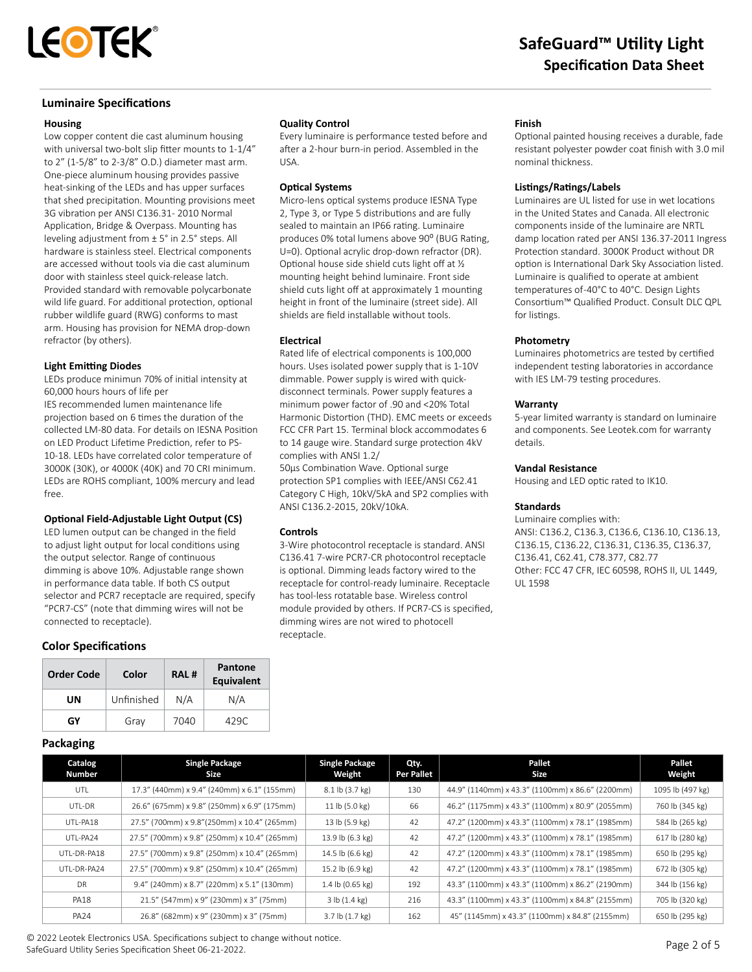

### **Luminaire Specifications**

#### **Housing**

Low copper content die cast aluminum housing with universal two-bolt slip fitter mounts to 1-1/4" to 2" (1-5/8" to 2-3/8" O.D.) diameter mast arm. One-piece aluminum housing provides passive heat-sinking of the LEDs and has upper surfaces that shed precipitation. Mounting provisions meet 3G vibration per ANSI C136.31- 2010 Normal Application, Bridge & Overpass. Mounting has leveling adjustment from ± 5° in 2.5° steps. All hardware is stainless steel. Electrical components are accessed without tools via die cast aluminum door with stainless steel quick-release latch. Provided standard with removable polycarbonate wild life guard. For additional protection, optional rubber wildlife guard (RWG) conforms to mast arm. Housing has provision for NEMA drop-down refractor (by others).

#### **Light Emitting Diodes**

LEDs produce minimun 70% of initial intensity at 60,000 hours hours of life per IES recommended lumen maintenance life projection based on 6 times the duration of the collected LM-80 data. For details on IESNA Position on LED Product Lifetime Prediction, refer to PS-10-18. LEDs have correlated color temperature of 3000K (30K), or 4000K (40K) and 70 CRI minimum. LEDs are ROHS compliant, 100% mercury and lead free.

#### **Optional Field-Adjustable Light Output (CS)**

LED lumen output can be changed in the field to adjust light output for local conditions using the output selector. Range of continuous dimming is above 10%. Adjustable range shown in performance data table. If both CS output selector and PCR7 receptacle are required, specify "PCR7-CS" (note that dimming wires will not be connected to receptacle).

### **Color Specifications**

| <b>Order Code</b> | Color      | RAL# | <b>Pantone</b><br><b>Equivalent</b> |  |
|-------------------|------------|------|-------------------------------------|--|
| UN                | Unfinished | N/A  | N/A                                 |  |
| GY                | Gray       | 7040 | 429C                                |  |

#### **Quality Control**

Every luminaire is performance tested before and after a 2-hour burn-in period. Assembled in the USA.

#### **Optical Systems**

Micro-lens optical systems produce IESNA Type 2, Type 3, or Type 5 distributions and are fully sealed to maintain an IP66 rating. Luminaire produces 0% total lumens above 90° (BUG Rating, U=0). Optional acrylic drop-down refractor (DR). Optional house side shield cuts light off at ½ mounting height behind luminaire. Front side shield cuts light off at approximately 1 mounting height in front of the luminaire (street side). All shields are field installable without tools.

#### **Electrical**

Rated life of electrical components is 100,000 hours. Uses isolated power supply that is 1-10V dimmable. Power supply is wired with quickdisconnect terminals. Power supply features a minimum power factor of .90 and <20% Total Harmonic Distortion (THD). EMC meets or exceeds FCC CFR Part 15. Terminal block accommodates 6 to 14 gauge wire. Standard surge protection 4kV complies with ANSI 1.2/

50μs Combination Wave. Optional surge protection SP1 complies with IEEE/ANSI C62.41 Category C High, 10kV/5kA and SP2 complies with ANSI C136.2-2015, 20kV/10kA.

#### **Controls**

3-Wire photocontrol receptacle is standard. ANSI C136.41 7-wire PCR7-CR photocontrol receptacle is optional. Dimming leads factory wired to the receptacle for control-ready luminaire. Receptacle has tool-less rotatable base. Wireless control module provided by others. If PCR7-CS is specified, dimming wires are not wired to photocell receptacle.

#### **Finish**

Optional painted housing receives a durable, fade resistant polyester powder coat finish with 3.0 mil nominal thickness.

#### **Listings/Ratings/Labels**

Luminaires are UL listed for use in wet locations in the United States and Canada. All electronic components inside of the luminaire are NRTL damp location rated per ANSI 136.37-2011 Ingress Protection standard. 3000K Product without DR option is International Dark Sky Association listed. Luminaire is qualified to operate at ambient temperatures of -40°C to 40°C. Design Lights Consortium™ Qualified Product. Consult DLC QPL for listings.

#### **Photometry**

Luminaires photometrics are tested by certified independent testing laboratories in accordance with IES LM-79 testing procedures.

#### **Warranty**

5-year limited warranty is standard on luminaire and components. See Leotek.com for warranty details.

#### **Vandal Resistance**

Housing and LED optic rated to IK10.

#### **Standards**

Luminaire complies with: ANSI: C136.2, C136.3, C136.6, C136.10, C136.13, C136.15, C136.22, C136.31, C136.35, C136.37, C136.41, C62.41, C78.377, C82.77 Other: FCC 47 CFR, IEC 60598, ROHS II, UL 1449, UL 1598

## **Packaging**

| Catalog<br>Number | <b>Single Package</b><br>Size                | <b>Single Package</b><br>Weight | Qty.<br><b>Per Pallet</b> | Pallet<br>Size                                   | Pallet<br>Weight |
|-------------------|----------------------------------------------|---------------------------------|---------------------------|--------------------------------------------------|------------------|
| UTL               | 17.3" (440mm) x 9.4" (240mm) x 6.1" (155mm)  | 8.1 lb (3.7 kg)                 | 130                       | 44.9" (1140mm) x 43.3" (1100mm) x 86.6" (2200mm) | 1095 lb (497 kg) |
| UTL-DR            | 26.6" (675mm) x 9.8" (250mm) x 6.9" (175mm)  | 11 lb (5.0 kg)                  | 66                        | 46.2" (1175mm) x 43.3" (1100mm) x 80.9" (2055mm) | 760 lb (345 kg)  |
| UTL-PA18          | 27.5" (700mm) x 9.8" (250mm) x 10.4" (265mm) | 13 lb (5.9 kg)                  | 42                        | 47.2" (1200mm) x 43.3" (1100mm) x 78.1" (1985mm) | 584 lb (265 kg)  |
| UTL-PA24          | 27.5" (700mm) x 9.8" (250mm) x 10.4" (265mm) | 13.9 lb (6.3 kg)                | 42                        | 47.2" (1200mm) x 43.3" (1100mm) x 78.1" (1985mm) | 617 lb (280 kg)  |
| UTL-DR-PA18       | 27.5" (700mm) x 9.8" (250mm) x 10.4" (265mm) | 14.5 lb (6.6 kg)                | 42                        | 47.2" (1200mm) x 43.3" (1100mm) x 78.1" (1985mm) | 650 lb (295 kg)  |
| UTL-DR-PA24       | 27.5" (700mm) x 9.8" (250mm) x 10.4" (265mm) | 15.2 lb (6.9 kg)                | 42                        | 47.2" (1200mm) x 43.3" (1100mm) x 78.1" (1985mm) | 672 lb (305 kg)  |
| <b>DR</b>         | 9.4" (240mm) x 8.7" (220mm) x 5.1" (130mm)   | 1.4 lb (0.65 kg)                | 192                       | 43.3" (1100mm) x 43.3" (1100mm) x 86.2" (2190mm) | 344 lb (156 kg)  |
| <b>PA18</b>       | 21.5" (547mm) x 9" (230mm) x 3" (75mm)       | 3 lb(1.4 kg)                    | 216                       | 43.3" (1100mm) x 43.3" (1100mm) x 84.8" (2155mm) | 705 lb (320 kg)  |
| <b>PA24</b>       | 26.8" (682mm) x 9" (230mm) x 3" (75mm)       | $3.7$ lb $(1.7 \text{ kg})$     | 162                       | 45" (1145mm) x 43.3" (1100mm) x 84.8" (2155mm)   | 650 lb (295 kg)  |

© 2022 Leotek Electronics USA. Specifications subject to change without notice. SafeGuard Utility Series Specification Sheet 06-21-2022.<br>SafeGuard Utility Series Specification Sheet 06-21-2022.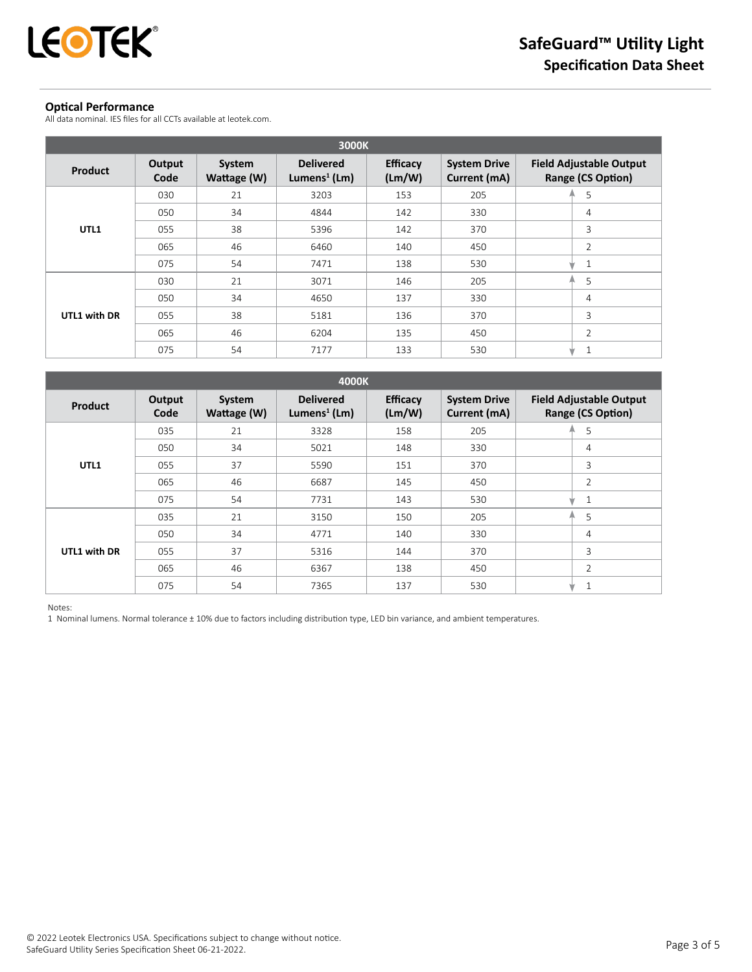

# **Optical Performance**

All data nominal. IES files for all CCTs available at leotek.com.

| 3000K          |                |                       |                                              |                           |                                     |                                                     |  |
|----------------|----------------|-----------------------|----------------------------------------------|---------------------------|-------------------------------------|-----------------------------------------------------|--|
| <b>Product</b> | Output<br>Code | System<br>Wattage (W) | <b>Delivered</b><br>Lumens <sup>1</sup> (Lm) | <b>Efficacy</b><br>(Lm/W) | <b>System Drive</b><br>Current (mA) | <b>Field Adjustable Output</b><br>Range (CS Option) |  |
|                | 030            | 21                    | 3203                                         | 153                       | 205                                 | 5<br>A                                              |  |
|                | 050            | 34                    | 4844                                         | 142                       | 330                                 | 4                                                   |  |
| UTL1           | 055            | 38                    | 5396                                         | 142                       | 370                                 | 3                                                   |  |
|                | 065            | 46                    | 6460                                         | 140                       | 450                                 | 2                                                   |  |
|                | 075            | 54                    | 7471                                         | 138                       | 530                                 | 1<br>w                                              |  |
|                | 030            | 21                    | 3071                                         | 146                       | 205                                 | 5<br>A                                              |  |
|                | 050            | 34                    | 4650                                         | 137                       | 330                                 | 4                                                   |  |
| UTL1 with DR   | 055            | 38                    | 5181                                         | 136                       | 370                                 | 3                                                   |  |
|                | 065            | 46                    | 6204                                         | 135                       | 450                                 | $\overline{2}$                                      |  |
|                | 075            | 54                    | 7177                                         | 133                       | 530                                 | 1<br>w                                              |  |

| 4000K          |                |                       |                                              |                           |                                     |                                                     |  |
|----------------|----------------|-----------------------|----------------------------------------------|---------------------------|-------------------------------------|-----------------------------------------------------|--|
| <b>Product</b> | Output<br>Code | System<br>Wattage (W) | <b>Delivered</b><br>Lumens <sup>1</sup> (Lm) | <b>Efficacy</b><br>(Lm/W) | <b>System Drive</b><br>Current (mA) | <b>Field Adjustable Output</b><br>Range (CS Option) |  |
|                | 035            | 21                    | 3328                                         | 158                       | 205                                 | 5                                                   |  |
|                | 050            | 34                    | 5021                                         | 148                       | 330                                 | 4                                                   |  |
| UTL1           | 055            | 37                    | 5590                                         | 151                       | 370                                 | 3                                                   |  |
|                | 065            | 46                    | 6687                                         | 145                       | 450                                 | $\overline{2}$                                      |  |
|                | 075            | 54                    | 7731                                         | 143                       | 530                                 | 1                                                   |  |
|                | 035            | 21                    | 3150                                         | 150                       | 205                                 | 5<br>А                                              |  |
|                | 050            | 34                    | 4771                                         | 140                       | 330                                 | 4                                                   |  |
| UTL1 with DR   | 055            | 37                    | 5316                                         | 144                       | 370                                 | 3                                                   |  |
|                | 065            | 46                    | 6367                                         | 138                       | 450                                 | $\overline{2}$                                      |  |
|                | 075            | 54                    | 7365                                         | 137                       | 530                                 | w                                                   |  |

Notes:

1 Nominal lumens. Normal tolerance ± 10% due to factors including distribution type, LED bin variance, and ambient temperatures.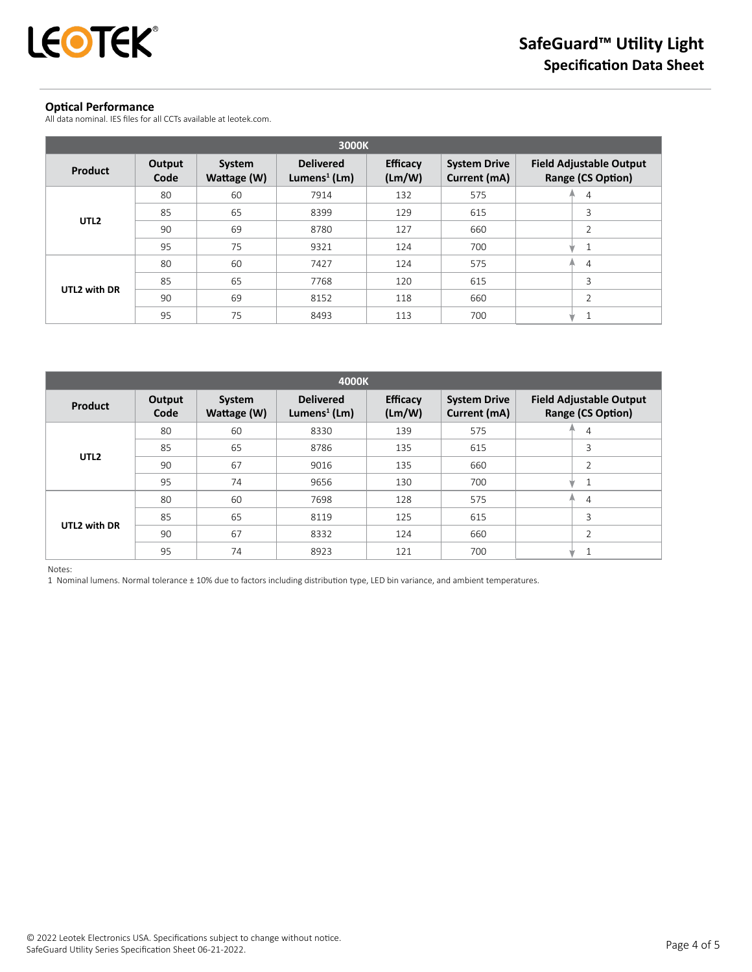

# **Optical Performance**

All data nominal. IES files for all CCTs available at leotek.com.

| 3000K            |                |                       |                                              |                           |                                     |                                                     |  |
|------------------|----------------|-----------------------|----------------------------------------------|---------------------------|-------------------------------------|-----------------------------------------------------|--|
| Product          | Output<br>Code | System<br>Wattage (W) | <b>Delivered</b><br>Lumens <sup>1</sup> (Lm) | <b>Efficacy</b><br>(Lm/W) | <b>System Drive</b><br>Current (mA) | <b>Field Adjustable Output</b><br>Range (CS Option) |  |
| UTL <sub>2</sub> | 80             | 60                    | 7914                                         | 132                       | 575                                 | $\overline{4}$<br>æ,                                |  |
|                  | 85             | 65                    | 8399                                         | 129                       | 615                                 | 3                                                   |  |
|                  | 90             | 69                    | 8780                                         | 127                       | 660                                 | $\overline{2}$                                      |  |
|                  | 95             | 75                    | 9321                                         | 124                       | 700                                 | 1<br>ŵ                                              |  |
|                  | 80             | 60                    | 7427                                         | 124                       | 575                                 | $\overline{4}$<br>А                                 |  |
| UTL2 with DR     | 85             | 65                    | 7768                                         | 120                       | 615                                 | 3                                                   |  |
|                  | 90             | 69                    | 8152                                         | 118                       | 660                                 | $\overline{2}$                                      |  |
|                  | 95             | 75                    | 8493                                         | 113                       | 700                                 |                                                     |  |

| 4000K            |                |                       |                                              |                           |                                     |                                                     |  |
|------------------|----------------|-----------------------|----------------------------------------------|---------------------------|-------------------------------------|-----------------------------------------------------|--|
| <b>Product</b>   | Output<br>Code | System<br>Wattage (W) | <b>Delivered</b><br>Lumens <sup>1</sup> (Lm) | <b>Efficacy</b><br>(Lm/W) | <b>System Drive</b><br>Current (mA) | <b>Field Adjustable Output</b><br>Range (CS Option) |  |
| UTL <sub>2</sub> | 80             | 60                    | 8330                                         | 139                       | 575                                 | 4                                                   |  |
|                  | 85             | 65                    | 8786                                         | 135                       | 615                                 | 3                                                   |  |
|                  | 90             | 67                    | 9016                                         | 135                       | 660                                 | 2                                                   |  |
|                  | 95             | 74                    | 9656                                         | 130                       | 700                                 |                                                     |  |
|                  | 80             | 60                    | 7698                                         | 128                       | 575                                 | $\overline{4}$<br>≞                                 |  |
| UTL2 with DR     | 85             | 65                    | 8119                                         | 125                       | 615                                 | 3                                                   |  |
|                  | 90             | 67                    | 8332                                         | 124                       | 660                                 | $\overline{2}$                                      |  |
|                  | 95             | 74                    | 8923                                         | 121                       | 700                                 |                                                     |  |

Notes:

1 Nominal lumens. Normal tolerance ± 10% due to factors including distribution type, LED bin variance, and ambient temperatures.